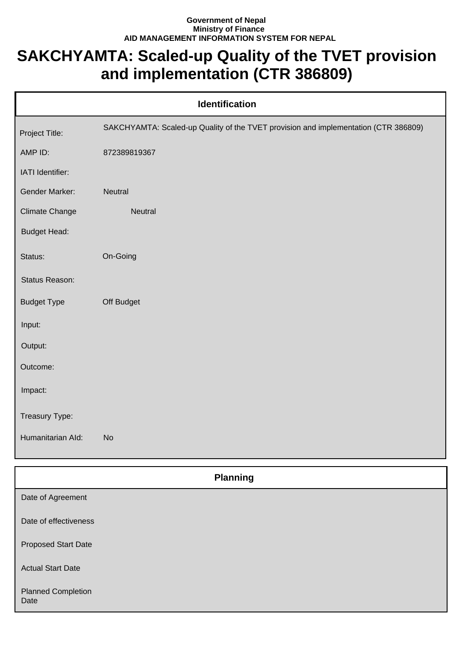## **Government of Nepal Ministry of Finance AID MANAGEMENT INFORMATION SYSTEM FOR NEPAL**

## **SAKCHYAMTA: Scaled-up Quality of the TVET provision and implementation (CTR 386809)**

| <b>Identification</b> |                                                                                     |  |  |
|-----------------------|-------------------------------------------------------------------------------------|--|--|
| Project Title:        | SAKCHYAMTA: Scaled-up Quality of the TVET provision and implementation (CTR 386809) |  |  |
| AMP ID:               | 872389819367                                                                        |  |  |
| IATI Identifier:      |                                                                                     |  |  |
| Gender Marker:        | Neutral                                                                             |  |  |
| Climate Change        | Neutral                                                                             |  |  |
| <b>Budget Head:</b>   |                                                                                     |  |  |
| Status:               | On-Going                                                                            |  |  |
| Status Reason:        |                                                                                     |  |  |
| <b>Budget Type</b>    | Off Budget                                                                          |  |  |
| Input:                |                                                                                     |  |  |
| Output:               |                                                                                     |  |  |
| Outcome:              |                                                                                     |  |  |
| Impact:               |                                                                                     |  |  |
| Treasury Type:        |                                                                                     |  |  |
| Humanitarian Ald:     | <b>No</b>                                                                           |  |  |
|                       |                                                                                     |  |  |

| <b>Planning</b>                   |
|-----------------------------------|
| Date of Agreement                 |
| Date of effectiveness             |
| <b>Proposed Start Date</b>        |
| <b>Actual Start Date</b>          |
| <b>Planned Completion</b><br>Date |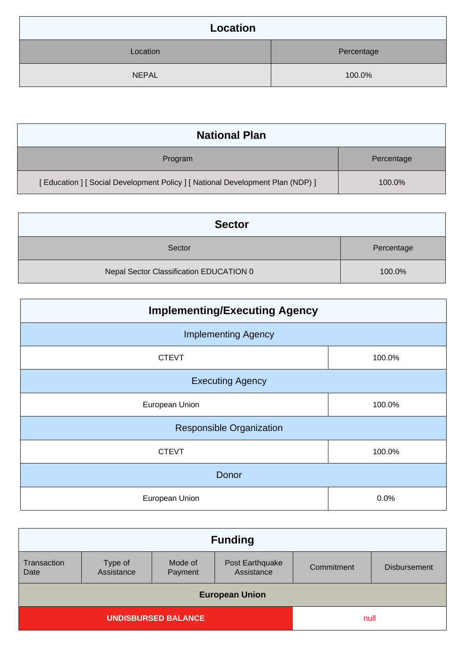| Location     |            |  |
|--------------|------------|--|
| Location     | Percentage |  |
| <b>NEPAL</b> | 100.0%     |  |

| <b>National Plan</b>                                                            |            |  |
|---------------------------------------------------------------------------------|------------|--|
| Program                                                                         | Percentage |  |
| [ Education ] [ Social Development Policy ] [ National Development Plan (NDP) ] | 100.0%     |  |

| <b>Sector</b>                           |            |
|-----------------------------------------|------------|
| Sector                                  | Percentage |
| Nepal Sector Classification EDUCATION 0 | 100.0%     |

| <b>Implementing/Executing Agency</b> |        |  |
|--------------------------------------|--------|--|
| <b>Implementing Agency</b>           |        |  |
| <b>CTEVT</b>                         | 100.0% |  |
| <b>Executing Agency</b>              |        |  |
| European Union                       | 100.0% |  |
| <b>Responsible Organization</b>      |        |  |
| <b>CTEVT</b>                         | 100.0% |  |
| Donor                                |        |  |
| European Union                       | 0.0%   |  |

| <b>Funding</b>             |                       |                    |                               |            |                     |
|----------------------------|-----------------------|--------------------|-------------------------------|------------|---------------------|
| Transaction<br>Date        | Type of<br>Assistance | Mode of<br>Payment | Post Earthquake<br>Assistance | Commitment | <b>Disbursement</b> |
| <b>European Union</b>      |                       |                    |                               |            |                     |
| <b>UNDISBURSED BALANCE</b> |                       | null               |                               |            |                     |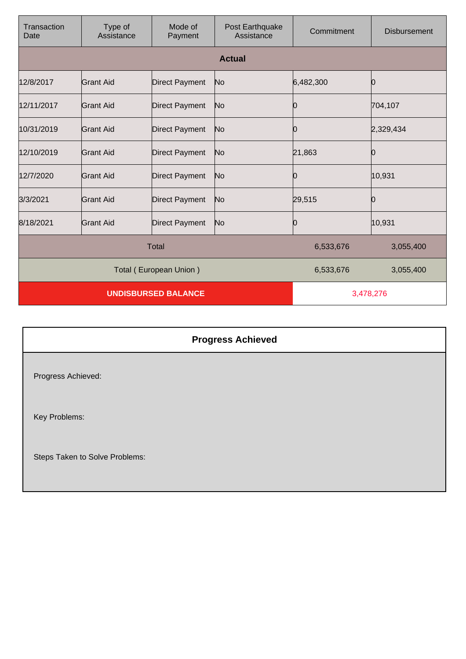| Transaction<br>Date | Type of<br>Assistance      | Mode of<br>Payment     | Post Earthquake<br>Assistance | Commitment | <b>Disbursement</b> |
|---------------------|----------------------------|------------------------|-------------------------------|------------|---------------------|
|                     |                            |                        | <b>Actual</b>                 |            |                     |
| 12/8/2017           | <b>Grant Aid</b>           | <b>Direct Payment</b>  | No                            | 6,482,300  |                     |
| 12/11/2017          | <b>Grant Aid</b>           | <b>Direct Payment</b>  | No                            |            | 704,107             |
| 10/31/2019          | <b>Grant Aid</b>           | <b>Direct Payment</b>  | No                            | Ю          | 2,329,434           |
| 12/10/2019          | <b>Grant Aid</b>           | <b>Direct Payment</b>  | No                            | 21,863     |                     |
| 12/7/2020           | <b>Grant Aid</b>           | <b>Direct Payment</b>  | No                            | Ю          | 10,931              |
| 3/3/2021            | <b>Grant Aid</b>           | <b>Direct Payment</b>  | No                            | 29,515     |                     |
| 8/18/2021           | <b>Grant Aid</b>           | <b>Direct Payment</b>  | No                            | 0          | 10,931              |
| <b>Total</b>        |                            |                        | 6,533,676                     | 3,055,400  |                     |
|                     |                            | Total (European Union) |                               | 6,533,676  | 3,055,400           |
|                     | <b>UNDISBURSED BALANCE</b> |                        |                               | 3,478,276  |                     |

|                                | <b>Progress Achieved</b> |
|--------------------------------|--------------------------|
| Progress Achieved:             |                          |
| Key Problems:                  |                          |
| Steps Taken to Solve Problems: |                          |